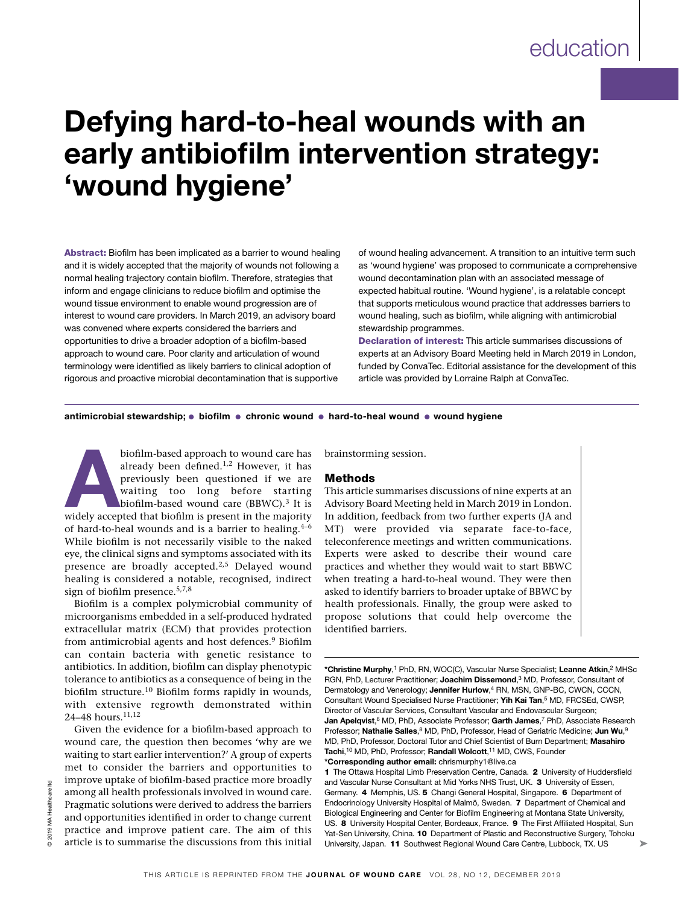# Defying hard-to-heal wounds with an early antibiofilm intervention strategy: 'wound hygiene'

Abstract: Biofilm has been implicated as a barrier to wound healing and it is widely accepted that the majority of wounds not following a normal healing trajectory contain biofilm. Therefore, strategies that inform and engage clinicians to reduce biofilm and optimise the wound tissue environment to enable wound progression are of interest to wound care providers. In March 2019, an advisory board was convened where experts considered the barriers and opportunities to drive a broader adoption of a biofilm-based approach to wound care. Poor clarity and articulation of wound terminology were identified as likely barriers to clinical adoption of rigorous and proactive microbial decontamination that is supportive

of wound healing advancement. A transition to an intuitive term such as 'wound hygiene' was proposed to communicate a comprehensive wound decontamination plan with an associated message of expected habitual routine. 'Wound hygiene', is a relatable concept that supports meticulous wound practice that addresses barriers to wound healing, such as biofilm, while aligning with antimicrobial stewardship programmes.

Declaration of interest: This article summarises discussions of experts at an Advisory Board Meeting held in March 2019 in London, funded by ConvaTec. Editorial assistance for the development of this article was provided by Lorraine Ralph at ConvaTec.

antimicrobial stewardship; ● biofilm ● chronic wound ● hard-to-heal wound ● wound hygiene

biofilm-based approach to wound care has already been defined.<sup>1,2</sup> However, it has previously been questioned if we are waiting too long before starting biofilm-based wound care (BBWC).<sup>3</sup> It is widely accepted that biofi already been defined. $1,2$  However, it has previously been questioned if we are waiting too long before starting biofilm-based wound care (BBWC).<sup>3</sup> It is of hard-to-heal wounds and is a barrier to healing. $4-6$ While biofilm is not necessarily visible to the naked eye, the clinical signs and symptoms associated with its presence are broadly accepted.2,5 Delayed wound healing is considered a notable, recognised, indirect sign of biofilm presence.<sup>5,7,8</sup>

Biofilm is a complex polymicrobial community of microorganisms embedded in a self-produced hydrated extracellular matrix (ECM) that provides protection from antimicrobial agents and host defences.<sup>9</sup> Biofilm can contain bacteria with genetic resistance to antibiotics. In addition, biofilm can display phenotypic tolerance to antibiotics as a consequence of being in the biofilm structure.10 Biofilm forms rapidly in wounds, with extensive regrowth demonstrated within 24–48 hours.11,12

Given the evidence for a biofilm-based approach to wound care, the question then becomes 'why are we waiting to start earlier intervention?' A group of experts met to consider the barriers and opportunities to improve uptake of biofilm-based practice more broadly among all health professionals involved in wound care. Pragmatic solutions were derived to address the barriers and opportunities identified in order to change current practice and improve patient care. The aim of this article is to summarise the discussions from this initial

brainstorming session.

#### Methods

This article summarises discussions of nine experts at an Advisory Board Meeting held in March 2019 in London. In addition, feedback from two further experts (JA and MT) were provided via separate face-to-face, teleconference meetings and written communications. Experts were asked to describe their wound care practices and whether they would wait to start BBWC when treating a hard-to-heal wound. They were then asked to identify barriers to broader uptake of BBWC by health professionals. Finally, the group were asked to propose solutions that could help overcome the identified barriers.

\*Christine Murphy, 1 PhD, RN, WOC(C), Vascular Nurse Specialist; Leanne Atkin, 2 MHSc RGN, PhD, Lecturer Practitioner; Joachim Dissemond,<sup>3</sup> MD, Professor, Consultant of Dermatology and Venerology; Jennifer Hurlow,<sup>4</sup> RN, MSN, GNP-BC, CWCN, CCCN, Consultant Wound Specialised Nurse Practitioner; Yih Kai Tan, <sup>5</sup> MD, FRCSEd, CWSP, Director of Vascular Services, Consultant Vascular and Endovascular Surgeon; Jan Apelqvist,<sup>6</sup> MD, PhD, Associate Professor; Garth James,<sup>7</sup> PhD, Associate Research Professor; Nathalie Salles,<sup>8</sup> MD, PhD, Professor, Head of Geriatric Medicine; Jun Wu,<sup>9</sup> MD, PhD, Professor, Doctoral Tutor and Chief Scientist of Burn Department; Masahiro Tachi,<sup>10</sup> MD, PhD, Professor; Randall Wolcott,<sup>11</sup> MD, CWS, Founder \*Corresponding author email: chrismurphy1@live.ca

1 The Ottawa Hospital Limb Preservation Centre, Canada. 2 University of Huddersfield and Vascular Nurse Consultant at Mid Yorks NHS Trust, UK. 3 University of Essen, Germany. 4 Memphis, US. 5 Changi General Hospital, Singapore. 6 Department of Endocrinology University Hospital of Malmö, Sweden. 7 Department of Chemical and Biological Engineering and Center for Biofilm Engineering at Montana State University, US. 8 University Hospital Center, Bordeaux, France. 9 The First Affiliated Hospital, Sun Yat-Sen University, China. 10 Department of Plastic and Reconstructive Surgery, Tohoku University, Japan. 11 Southwest Regional Wound Care Centre, Lubbock, TX. US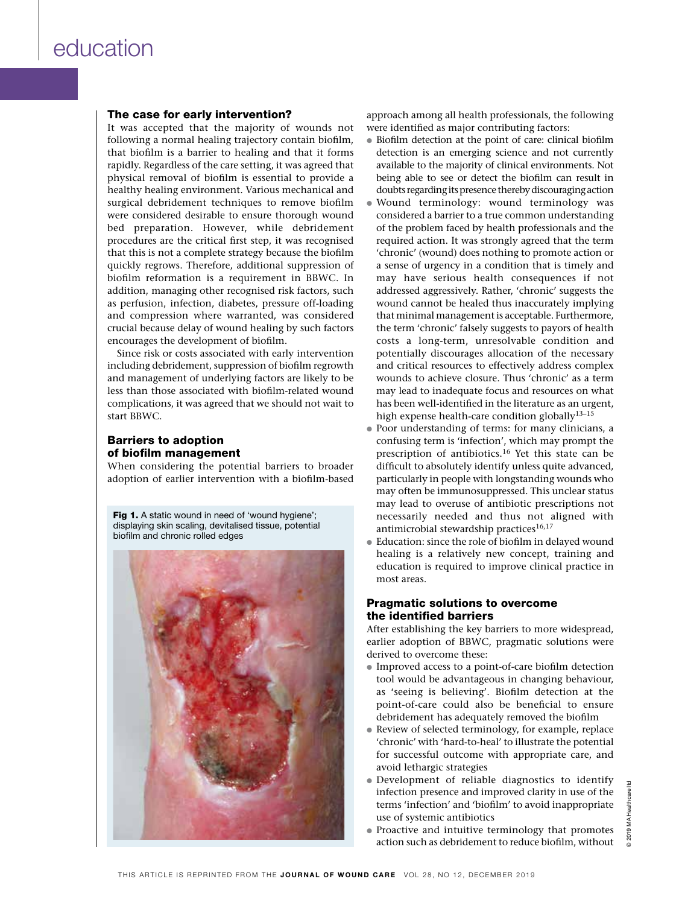### The case for early intervention?

It was accepted that the majority of wounds not following a normal healing trajectory contain biofilm, that biofilm is a barrier to healing and that it forms rapidly. Regardless of the care setting, it was agreed that physical removal of biofilm is essential to provide a healthy healing environment. Various mechanical and surgical debridement techniques to remove biofilm were considered desirable to ensure thorough wound bed preparation. However, while debridement procedures are the critical first step, it was recognised that this is not a complete strategy because the biofilm quickly regrows. Therefore, additional suppression of biofilm reformation is a requirement in BBWC. In addition, managing other recognised risk factors, such as perfusion, infection, diabetes, pressure off-loading and compression where warranted, was considered crucial because delay of wound healing by such factors encourages the development of biofilm.

Since risk or costs associated with early intervention including debridement, suppression of biofilm regrowth and management of underlying factors are likely to be less than those associated with biofilm-related wound complications, it was agreed that we should not wait to start BBWC.

### Barriers to adoption of biofilm management

When considering the potential barriers to broader adoption of earlier intervention with a biofilm-based

Fig 1. A static wound in need of 'wound hygiene'; displaying skin scaling, devitalised tissue, potential biofilm and chronic rolled edges



approach among all health professionals, the following were identified as major contributing factors:

- Biofilm detection at the point of care: clinical biofilm detection is an emerging science and not currently available to the majority of clinical environments. Not being able to see or detect the biofilm can result in doubts regarding its presence thereby discouraging action
- Wound terminology: wound terminology was considered a barrier to a true common understanding of the problem faced by health professionals and the required action. It was strongly agreed that the term 'chronic' (wound) does nothing to promote action or a sense of urgency in a condition that is timely and may have serious health consequences if not addressed aggressively. Rather, 'chronic' suggests the wound cannot be healed thus inaccurately implying that minimal management is acceptable. Furthermore, the term 'chronic' falsely suggests to payors of health costs a long-term, unresolvable condition and potentially discourages allocation of the necessary and critical resources to effectively address complex wounds to achieve closure. Thus 'chronic' as a term may lead to inadequate focus and resources on what has been well-identified in the literature as an urgent, high expense health-care condition globally<sup>13-15</sup>
- Poor understanding of terms: for many clinicians, a confusing term is 'infection', which may prompt the prescription of antibiotics.16 Yet this state can be difficult to absolutely identify unless quite advanced, particularly in people with longstanding wounds who may often be immunosuppressed. This unclear status may lead to overuse of antibiotic prescriptions not necessarily needed and thus not aligned with antimicrobial stewardship practices<sup>16,17</sup>
- Education: since the role of biofilm in delayed wound healing is a relatively new concept, training and education is required to improve clinical practice in most areas.

### Pragmatic solutions to overcome the identified barriers

After establishing the key barriers to more widespread, earlier adoption of BBWC, pragmatic solutions were derived to overcome these:

- Improved access to a point-of-care biofilm detection tool would be advantageous in changing behaviour, as 'seeing is believing'. Biofilm detection at the point-of-care could also be beneficial to ensure debridement has adequately removed the biofilm
- Review of selected terminology, for example, replace 'chronic' with 'hard-to-heal' to illustrate the potential for successful outcome with appropriate care, and avoid lethargic strategies
- Development of reliable diagnostics to identify infection presence and improved clarity in use of the terms 'infection' and 'biofilm' to avoid inappropriate use of systemic antibiotics
- Proactive and intuitive terminology that promotes action such as debridement to reduce biofilm, without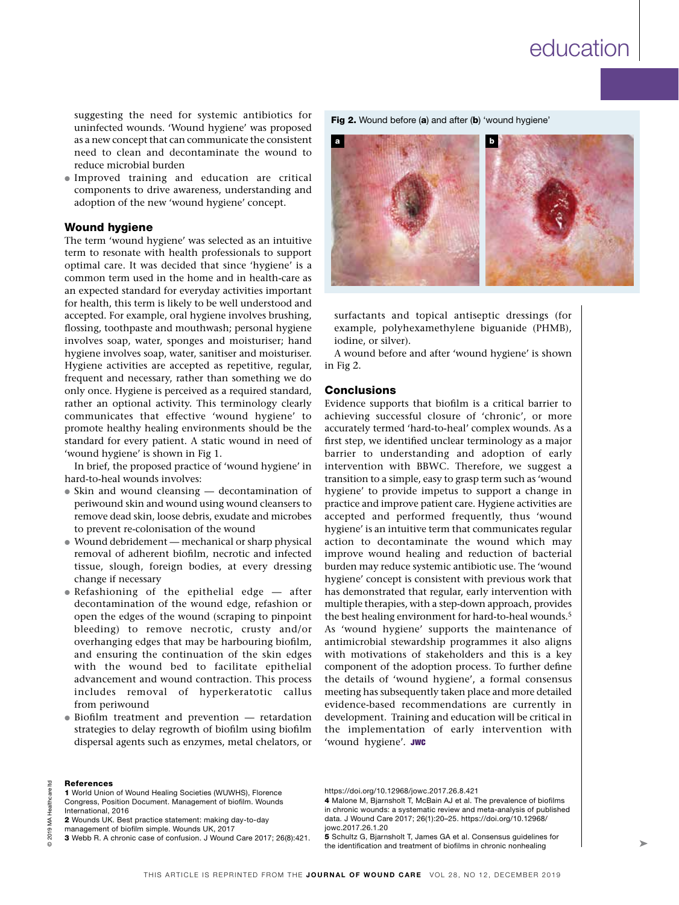suggesting the need for systemic antibiotics for uninfected wounds. 'Wound hygiene' was proposed as a new concept that can communicate the consistent need to clean and decontaminate the wound to reduce microbial burden

● Improved training and education are critical components to drive awareness, understanding and adoption of the new 'wound hygiene' concept.

#### Wound hygiene

The term 'wound hygiene' was selected as an intuitive term to resonate with health professionals to support optimal care. It was decided that since 'hygiene' is a common term used in the home and in health-care as an expected standard for everyday activities important for health, this term is likely to be well understood and accepted. For example, oral hygiene involves brushing, flossing, toothpaste and mouthwash; personal hygiene involves soap, water, sponges and moisturiser; hand hygiene involves soap, water, sanitiser and moisturiser. Hygiene activities are accepted as repetitive, regular, frequent and necessary, rather than something we do only once. Hygiene is perceived as a required standard, rather an optional activity. This terminology clearly communicates that effective 'wound hygiene' to promote healthy healing environments should be the standard for every patient. A static wound in need of 'wound hygiene' is shown in Fig 1.

In brief, the proposed practice of 'wound hygiene' in hard-to-heal wounds involves:

- Skin and wound cleansing decontamination of periwound skin and wound using wound cleansers to remove dead skin, loose debris, exudate and microbes to prevent re-colonisation of the wound
- $\bullet$  Wound debridement mechanical or sharp physical removal of adherent biofilm, necrotic and infected tissue, slough, foreign bodies, at every dressing change if necessary
- Refashioning of the epithelial edge after decontamination of the wound edge, refashion or open the edges of the wound (scraping to pinpoint bleeding) to remove necrotic, crusty and/or overhanging edges that may be harbouring biofilm, and ensuring the continuation of the skin edges with the wound bed to facilitate epithelial advancement and wound contraction. This process includes removal of hyperkeratotic callus from periwound
- Biofilm treatment and prevention retardation strategies to delay regrowth of biofilm using biofilm dispersal agents such as enzymes, metal chelators, or

#### Fig 2. Wound before (a) and after (b) 'wound hygiene'



surfactants and topical antiseptic dressings (for example, polyhexamethylene biguanide (PHMB), iodine, or silver).

A wound before and after 'wound hygiene' is shown in Fig 2.

### Conclusions

Evidence supports that biofilm is a critical barrier to achieving successful closure of 'chronic', or more accurately termed 'hard-to-heal' complex wounds. As a first step, we identified unclear terminology as a major barrier to understanding and adoption of early intervention with BBWC. Therefore, we suggest a transition to a simple, easy to grasp term such as 'wound hygiene' to provide impetus to support a change in practice and improve patient care. Hygiene activities are accepted and performed frequently, thus 'wound hygiene' is an intuitive term that communicates regular action to decontaminate the wound which may improve wound healing and reduction of bacterial burden may reduce systemic antibiotic use. The 'wound hygiene' concept is consistent with previous work that has demonstrated that regular, early intervention with multiple therapies, with a step-down approach, provides the best healing environment for hard-to-heal wounds.<sup>5</sup> As 'wound hygiene' supports the maintenance of antimicrobial stewardship programmes it also aligns with motivations of stakeholders and this is a key component of the adoption process. To further define the details of 'wound hygiene', a formal consensus meeting has subsequently taken place and more detailed evidence-based recommendations are currently in development. Training and education will be critical in the implementation of early intervention with 'wound hygiene'. JWC

- 1 World Union of Wound Healing Societies (WUWHS), Florence Congress, Position Document. Management of biofilm. Wounds International, 2016
- 2 Wounds UK. Best practice statement: making day-to-day
- management of biofilm simple. Wounds UK, 2017

5 Schultz G, Bjarnsholt T, James GA et al. Consensus guidelines for the identification and treatment of biofilms in chronic nonhealing

 $\overline{t}$ 

References

<sup>3</sup> Webb R. A chronic case of confusion. J Wound Care 2017; 26(8):421.

https://doi.org/10.12968/jowc.2017.26.8.421

<sup>4</sup> Malone M, Biarnsholt T, McBain AJ et al. The prevalence of biofilms in chronic wounds: a systematic review and meta-analysis of published data. J Wound Care 2017; 26(1):20–25. https://doi.org/10.12968/ jowc.2017.26.1.20